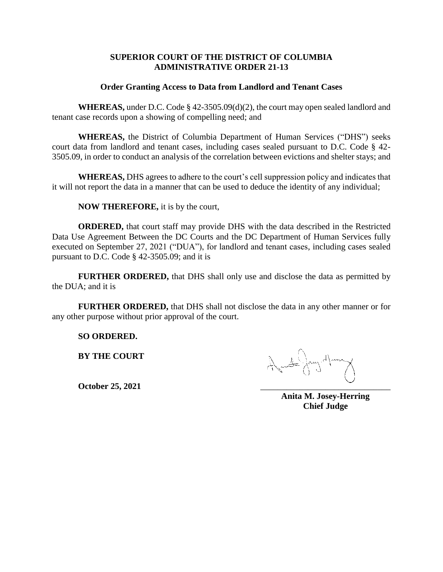## **SUPERIOR COURT OF THE DISTRICT OF COLUMBIA ADMINISTRATIVE ORDER 21-13**

## **Order Granting Access to Data from Landlord and Tenant Cases**

**WHEREAS,** under D.C. Code § 42-3505.09(d)(2), the court may open sealed landlord and tenant case records upon a showing of compelling need; and

**WHEREAS,** the District of Columbia Department of Human Services ("DHS") seeks court data from landlord and tenant cases, including cases sealed pursuant to D.C. Code § 42- 3505.09, in order to conduct an analysis of the correlation between evictions and shelter stays; and

**WHEREAS,** DHS agrees to adhere to the court's cell suppression policy and indicates that it will not report the data in a manner that can be used to deduce the identity of any individual;

**NOW THEREFORE,** it is by the court,

**ORDERED,** that court staff may provide DHS with the data described in the Restricted Data Use Agreement Between the DC Courts and the DC Department of Human Services fully executed on September 27, 2021 ("DUA"), for landlord and tenant cases, including cases sealed pursuant to D.C. Code § 42-3505.09; and it is

**FURTHER ORDERED,** that DHS shall only use and disclose the data as permitted by the DUA; and it is

**FURTHER ORDERED,** that DHS shall not disclose the data in any other manner or for any other purpose without prior approval of the court.

**SO ORDERED.**

**BY THE COURT**

**October 25, 2021** \_\_\_\_\_\_\_\_\_\_\_\_\_\_\_\_\_\_\_\_\_\_\_\_\_\_\_\_\_\_

**Anita M. Josey-Herring Chief Judge**